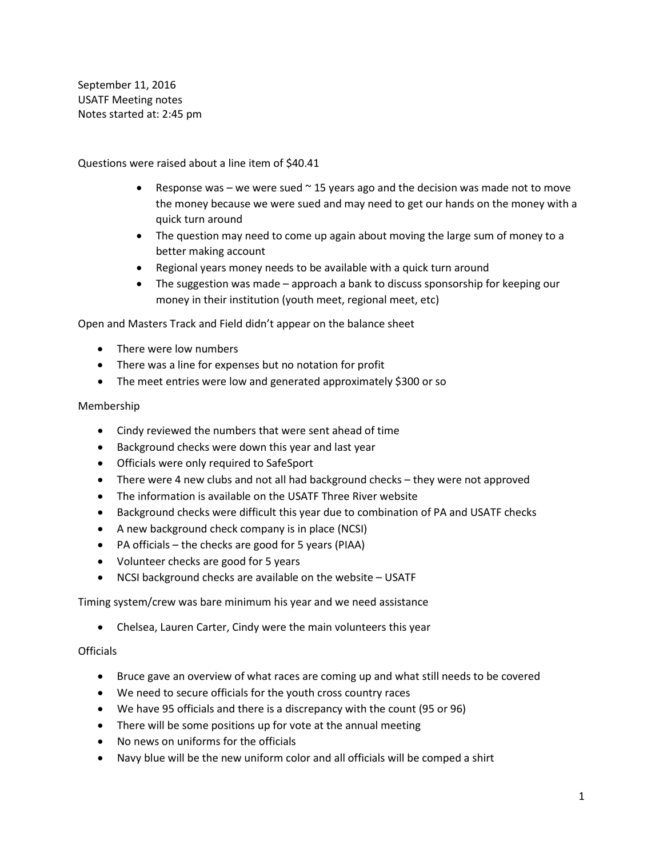September 11, 2016 USATF Meeting notes Notes started at: 2:45 pm

Questions were raised about a line item of \$40.41

- Response was we were sued  $\sim$  15 years ago and the decision was made not to move the money because we were sued and may need to get our hands on the money with a quick turn around
- The question may need to come up again about moving the large sum of money to a better making account
- Regional years money needs to be available with a quick turn around
- The suggestion was made approach a bank to discuss sponsorship for keeping our money in their institution (youth meet, regional meet, etc)

Open and Masters Track and Field didn't appear on the balance sheet

- There were low numbers
- There was a line for expenses but no notation for profit
- The meet entries were low and generated approximately \$300 or so

# Membership

- Cindy reviewed the numbers that were sent ahead of time
- Background checks were down this year and last year
- Officials were only required to SafeSport
- There were 4 new clubs and not all had background checks they were not approved
- The information is available on the USATF Three River website
- Background checks were difficult this year due to combination of PA and USATF checks
- A new background check company is in place (NCSI)
- PA officials the checks are good for 5 years (PIAA)
- Volunteer checks are good for 5 years
- NCSI background checks are available on the website USATF

Timing system/crew was bare minimum his year and we need assistance

• Chelsea, Lauren Carter, Cindy were the main volunteers this year

# **Officials**

- Bruce gave an overview of what races are coming up and what still needs to be covered
- We need to secure officials for the youth cross country races
- We have 95 officials and there is a discrepancy with the count (95 or 96)
- There will be some positions up for vote at the annual meeting
- No news on uniforms for the officials
- Navy blue will be the new uniform color and all officials will be comped a shirt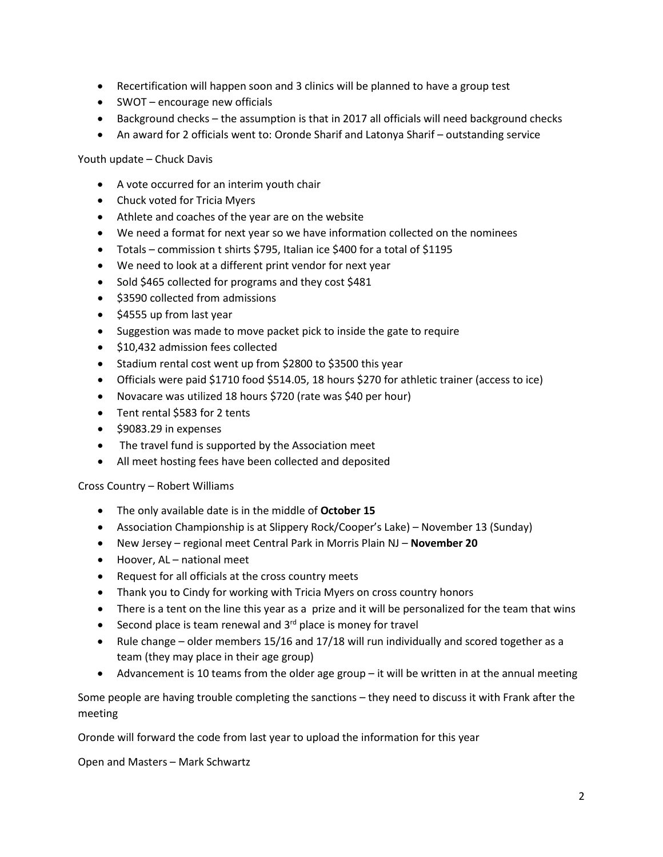- Recertification will happen soon and 3 clinics will be planned to have a group test
- SWOT encourage new officials
- Background checks the assumption is that in 2017 all officials will need background checks
- An award for 2 officials went to: Oronde Sharif and Latonya Sharif outstanding service

Youth update – Chuck Davis

- A vote occurred for an interim youth chair
- Chuck voted for Tricia Myers
- Athlete and coaches of the year are on the website
- We need a format for next year so we have information collected on the nominees
- Totals commission t shirts \$795, Italian ice \$400 for a total of \$1195
- We need to look at a different print vendor for next year
- Sold \$465 collected for programs and they cost \$481
- \$3590 collected from admissions
- \$4555 up from last year
- Suggestion was made to move packet pick to inside the gate to require
- \$10,432 admission fees collected
- Stadium rental cost went up from \$2800 to \$3500 this year
- Officials were paid \$1710 food \$514.05, 18 hours \$270 for athletic trainer (access to ice)
- Novacare was utilized 18 hours \$720 (rate was \$40 per hour)
- Tent rental \$583 for 2 tents
- \$9083.29 in expenses
- The travel fund is supported by the Association meet
- All meet hosting fees have been collected and deposited

# Cross Country – Robert Williams

- The only available date is in the middle of **October 15**
- Association Championship is at Slippery Rock/Cooper's Lake) November 13 (Sunday)
- New Jersey regional meet Central Park in Morris Plain NJ **November 20**
- Hoover, AL national meet
- Request for all officials at the cross country meets
- Thank you to Cindy for working with Tricia Myers on cross country honors
- There is a tent on the line this year as a prize and it will be personalized for the team that wins
- Second place is team renewal and  $3<sup>rd</sup>$  place is money for travel
- Rule change older members 15/16 and 17/18 will run individually and scored together as a team (they may place in their age group)
- Advancement is 10 teams from the older age group it will be written in at the annual meeting

Some people are having trouble completing the sanctions – they need to discuss it with Frank after the meeting

Oronde will forward the code from last year to upload the information for this year

Open and Masters – Mark Schwartz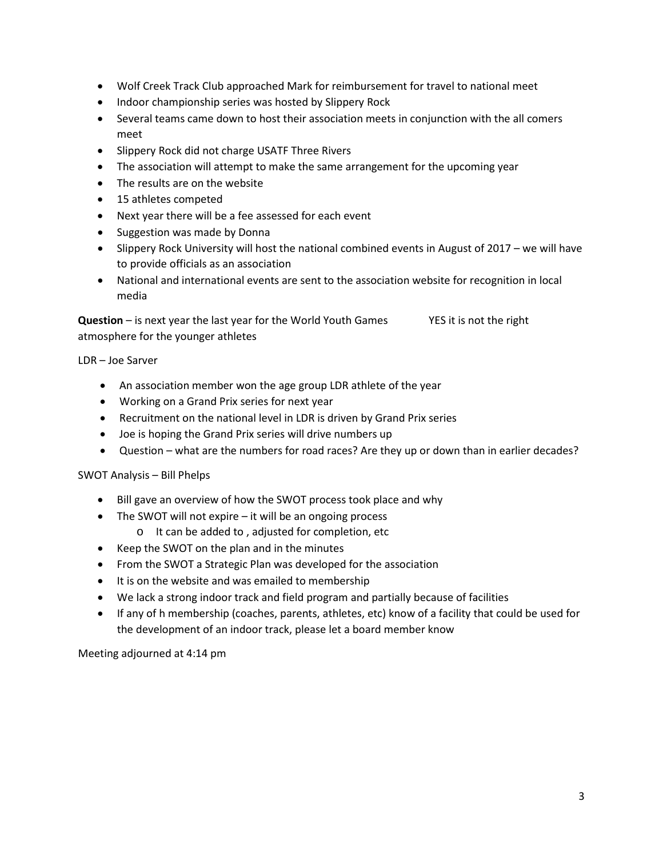- Wolf Creek Track Club approached Mark for reimbursement for travel to national meet
- Indoor championship series was hosted by Slippery Rock
- Several teams came down to host their association meets in conjunction with the all comers meet
- Slippery Rock did not charge USATF Three Rivers
- The association will attempt to make the same arrangement for the upcoming year
- The results are on the website
- 15 athletes competed
- Next year there will be a fee assessed for each event
- Suggestion was made by Donna
- Slippery Rock University will host the national combined events in August of 2017 we will have to provide officials as an association
- National and international events are sent to the association website for recognition in local media

**Question** – is next year the last year for the World Youth Games YES it is not the right atmosphere for the younger athletes

#### LDR – Joe Sarver

- An association member won the age group LDR athlete of the year
- Working on a Grand Prix series for next year
- Recruitment on the national level in LDR is driven by Grand Prix series
- Joe is hoping the Grand Prix series will drive numbers up
- Question what are the numbers for road races? Are they up or down than in earlier decades?

# SWOT Analysis – Bill Phelps

- Bill gave an overview of how the SWOT process took place and why
- The SWOT will not expire it will be an ongoing process
	- o It can be added to , adjusted for completion, etc
- Keep the SWOT on the plan and in the minutes
- From the SWOT a Strategic Plan was developed for the association
- It is on the website and was emailed to membership
- We lack a strong indoor track and field program and partially because of facilities
- If any of h membership (coaches, parents, athletes, etc) know of a facility that could be used for the development of an indoor track, please let a board member know

Meeting adjourned at 4:14 pm